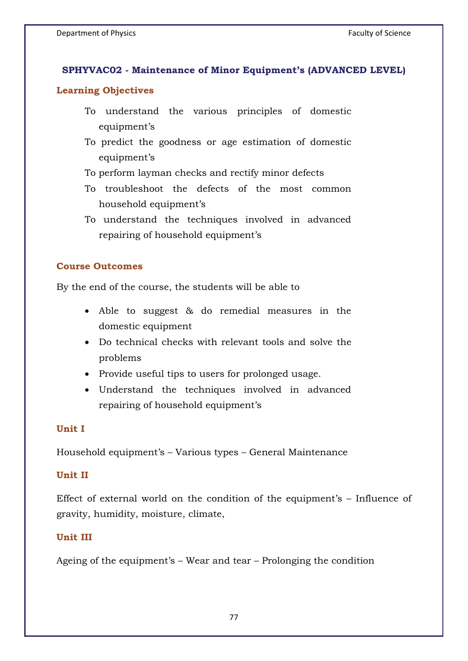# **SPHYVAC02 - Maintenance of Minor Equipment's (ADVANCED LEVEL)**

## **Learning Objectives**

- To understand the various principles of domestic equipment's
- To predict the goodness or age estimation of domestic equipment's
- To perform layman checks and rectify minor defects
- To troubleshoot the defects of the most common household equipment's
- To understand the techniques involved in advanced repairing of household equipment's

## **Course Outcomes**

By the end of the course, the students will be able to

- Able to suggest & do remedial measures in the domestic equipment
- Do technical checks with relevant tools and solve the problems
- Provide useful tips to users for prolonged usage.
- Understand the techniques involved in advanced repairing of household equipment's

# **Unit I**

Household equipment's – Various types – General Maintenance

### **Unit II**

Effect of external world on the condition of the equipment's – Influence of gravity, humidity, moisture, climate,

# **Unit III**

Ageing of the equipment's – Wear and tear – Prolonging the condition